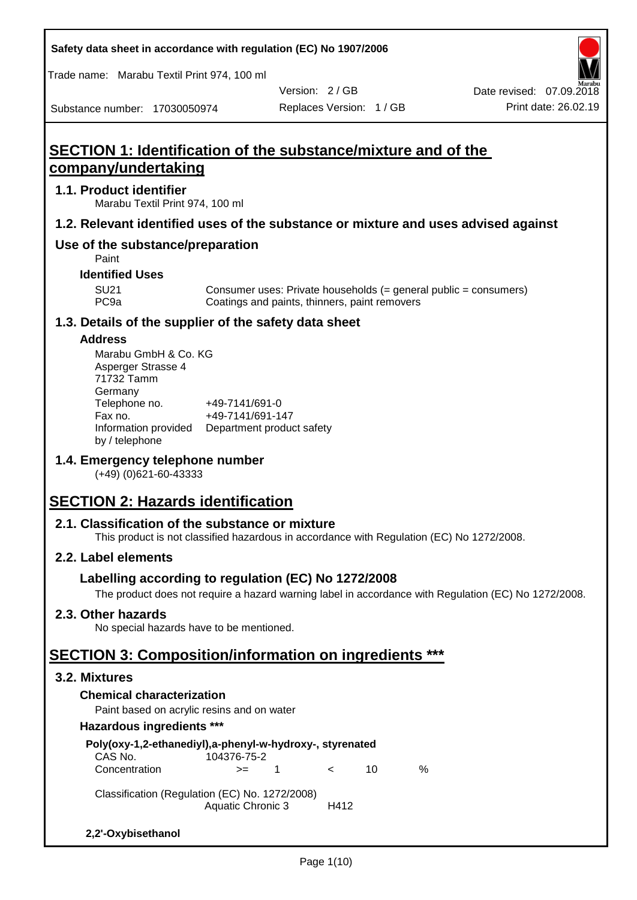**Safety data sheet in accordance with regulation (EC) No 1907/2006**

Trade name: Marabu Textil Print 974, 100 ml

Substance number: 17030050974

Version: 2 / GB

Replaces Version: 1 / GB Print date: 26.02.19 Date revised: 07.09.2018

## **SECTION 1: Identification of the substance/mixture and of the company/undertaking**

### **1.1. Product identifier**

Marabu Textil Print 974, 100 ml

### **1.2. Relevant identified uses of the substance or mixture and uses advised against**

## **Use of the substance/preparation**

Paint

### **Identified Uses**

SU21 Consumer uses: Private households (= general public = consumers)<br>PC9a Coatings and paints, thinners, paint removers Coatings and paints, thinners, paint removers

## **1.3. Details of the supplier of the safety data sheet**

#### **Address**

| Marabu GmbH & Co. KG |                           |
|----------------------|---------------------------|
| Asperger Strasse 4   |                           |
| 71732 Tamm           |                           |
| Germany              |                           |
| Telephone no.        | +49-7141/691-0            |
| Fax no.              | +49-7141/691-147          |
| Information provided | Department product safety |
| by / telephone       |                           |

## **1.4. Emergency telephone number**

(+49) (0)621-60-43333

## **SECTION 2: Hazards identification**

## **2.1. Classification of the substance or mixture**

This product is not classified hazardous in accordance with Regulation (EC) No 1272/2008.

## **2.2. Label elements**

## **Labelling according to regulation (EC) No 1272/2008**

The product does not require a hazard warning label in accordance with Regulation (EC) No 1272/2008.

## **2.3. Other hazards**

No special hazards have to be mentioned.

## **SECTION 3: Composition/information on ingredients \*\*\***

## **3.2. Mixtures**

## **Chemical characterization**

Paint based on acrylic resins and on water

#### **Hazardous ingredients \*\*\***

| Poly(oxy-1,2-ethanediyl),a-phenyl-w-hydroxy-, styrenated<br>CAS No. | 104376-75-2              |    |            |    |   |
|---------------------------------------------------------------------|--------------------------|----|------------|----|---|
| Concentration                                                       | $>=$                     | -1 | $\epsilon$ | 10 | ℅ |
| Classification (Regulation (EC) No. 1272/2008)                      | <b>Aquatic Chronic 3</b> |    | H412       |    |   |
| 2,2'-Oxybisethanol                                                  |                          |    |            |    |   |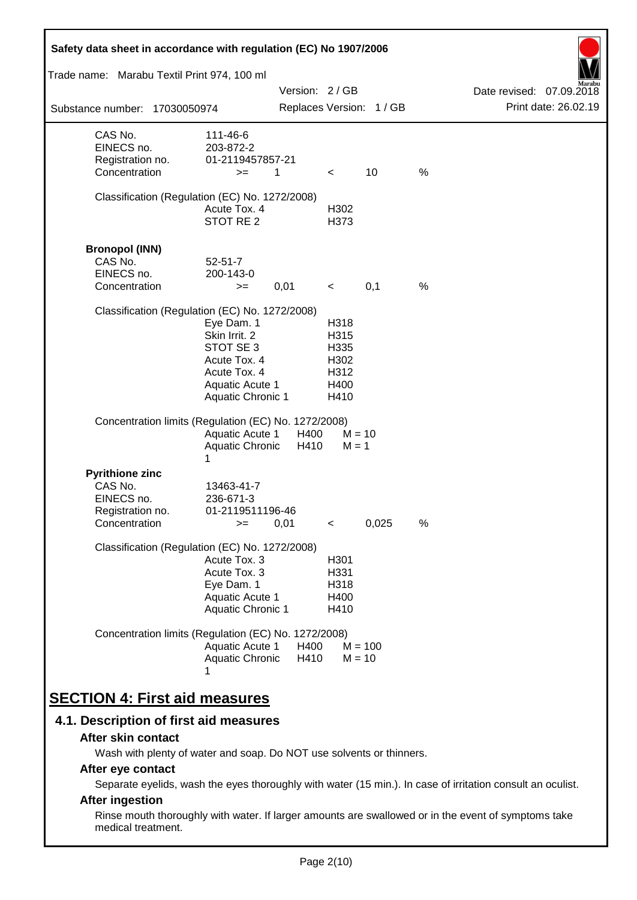| Safety data sheet in accordance with regulation (EC) No 1907/2006                    |                                                                                                                         |               |                                                      |                          |   |                                                  |
|--------------------------------------------------------------------------------------|-------------------------------------------------------------------------------------------------------------------------|---------------|------------------------------------------------------|--------------------------|---|--------------------------------------------------|
| Trade name: Marabu Textil Print 974, 100 ml                                          |                                                                                                                         |               |                                                      |                          |   |                                                  |
| Substance number: 17030050974                                                        |                                                                                                                         | Version: 2/GB |                                                      | Replaces Version: 1 / GB |   | Date revised: 07.09.2018<br>Print date: 26.02.19 |
| CAS No.<br>EINECS no.<br>Registration no.<br>Concentration                           | 111-46-6<br>203-872-2<br>01-2119457857-21<br>$>=$                                                                       | 1             | $\lt$                                                | 10                       | % |                                                  |
| Classification (Regulation (EC) No. 1272/2008)                                       | Acute Tox. 4<br>STOT RE <sub>2</sub>                                                                                    |               | H302<br>H373                                         |                          |   |                                                  |
| <b>Bronopol (INN)</b><br>CAS No.<br>EINECS no.<br>Concentration                      | $52 - 51 - 7$<br>200-143-0<br>$>=$                                                                                      | 0,01          | $\prec$                                              | 0,1                      | % |                                                  |
| Classification (Regulation (EC) No. 1272/2008)                                       | Eye Dam. 1<br>Skin Irrit. 2<br>STOT SE 3<br>Acute Tox. 4<br>Acute Tox. 4<br>Aquatic Acute 1<br><b>Aquatic Chronic 1</b> |               | H318<br>H315<br>H335<br>H302<br>H312<br>H400<br>H410 |                          |   |                                                  |
| Concentration limits (Regulation (EC) No. 1272/2008)                                 | <b>Aquatic Acute 1</b><br>Aquatic Chronic<br>1                                                                          | H400<br>H410  | $M = 1$                                              | $M = 10$                 |   |                                                  |
| <b>Pyrithione zinc</b><br>CAS No.<br>EINECS no.<br>Registration no.<br>Concentration | 13463-41-7<br>236-671-3<br>01-2119511196-46<br>$>=$                                                                     | 0,01          | $\,<\,$                                              | 0,025                    | % |                                                  |
| Classification (Regulation (EC) No. 1272/2008)                                       | Acute Tox. 3<br>Acute Tox. 3<br>Eye Dam. 1<br><b>Aquatic Acute 1</b><br>Aquatic Chronic 1                               |               | H <sub>301</sub><br>H331<br>H318<br>H400<br>H410     |                          |   |                                                  |
| Concentration limits (Regulation (EC) No. 1272/2008)                                 | Aquatic Acute 1<br>Aquatic Chronic                                                                                      | H400<br>H410  |                                                      | $M = 100$<br>$M = 10$    |   |                                                  |
| <b>SECTION 4: First aid measures</b>                                                 |                                                                                                                         |               |                                                      |                          |   |                                                  |

## **4.1. Description of first aid measures**

#### **After skin contact**

Wash with plenty of water and soap. Do NOT use solvents or thinners.

## **After eye contact**

Separate eyelids, wash the eyes thoroughly with water (15 min.). In case of irritation consult an oculist.

## **After ingestion**

Rinse mouth thoroughly with water. If larger amounts are swallowed or in the event of symptoms take medical treatment.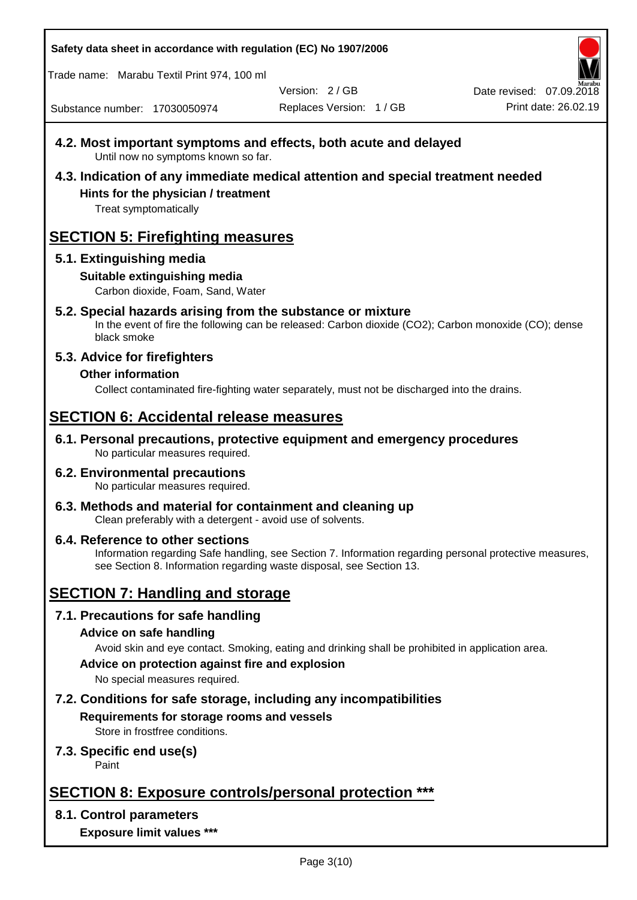**Safety data sheet in accordance with regulation (EC) No 1907/2006**

Trade name: Marabu Textil Print 974, 100 ml

Version: 2 / GB

Replaces Version: 1 / GB Print date: 26.02.19 Date revised: 07.09.2018

Substance number: 17030050974

- **4.2. Most important symptoms and effects, both acute and delayed** Until now no symptoms known so far.
- **4.3. Indication of any immediate medical attention and special treatment needed Hints for the physician / treatment**

Treat symptomatically

## **SECTION 5: Firefighting measures**

## **5.1. Extinguishing media**

## **Suitable extinguishing media**

Carbon dioxide, Foam, Sand, Water

# **5.2. Special hazards arising from the substance or mixture**

In the event of fire the following can be released: Carbon dioxide (CO2); Carbon monoxide (CO); dense black smoke

## **5.3. Advice for firefighters**

## **Other information**

Collect contaminated fire-fighting water separately, must not be discharged into the drains.

## **SECTION 6: Accidental release measures**

**6.1. Personal precautions, protective equipment and emergency procedures** No particular measures required.

#### **6.2. Environmental precautions** No particular measures required.

**6.3. Methods and material for containment and cleaning up** Clean preferably with a detergent - avoid use of solvents.

#### **6.4. Reference to other sections** Information regarding Safe handling, see Section 7. Information regarding personal protective measures, see Section 8. Information regarding waste disposal, see Section 13.

## **SECTION 7: Handling and storage**

## **7.1. Precautions for safe handling**

## **Advice on safe handling**

Avoid skin and eye contact. Smoking, eating and drinking shall be prohibited in application area.

**Advice on protection against fire and explosion**

No special measures required.

## **7.2. Conditions for safe storage, including any incompatibilities Requirements for storage rooms and vessels**

Store in frostfree conditions.

## **7.3. Specific end use(s)**

Paint

## **SECTION 8: Exposure controls/personal protection \*\*\***

## **8.1. Control parameters**

**Exposure limit values \*\*\***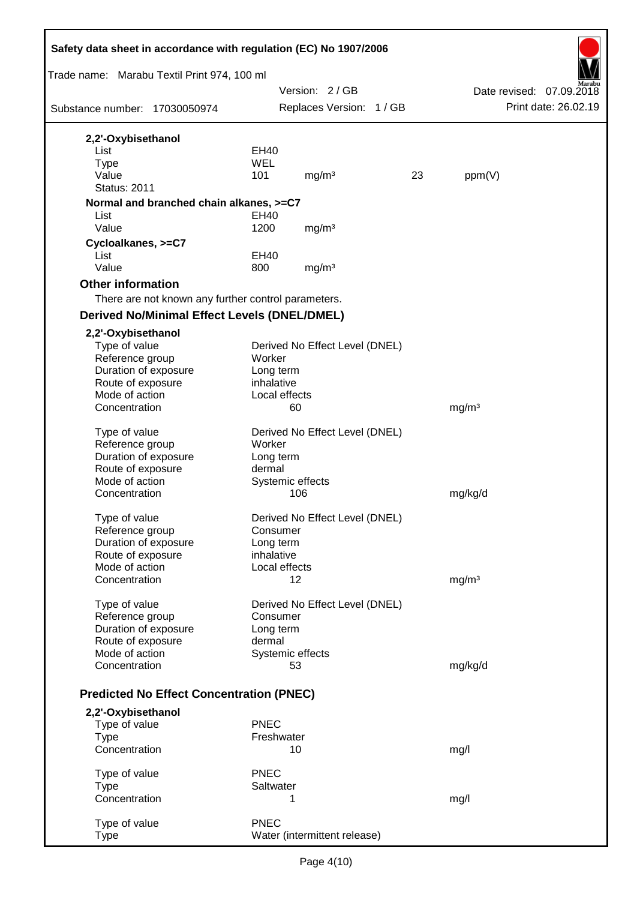| Safety data sheet in accordance with regulation (EC) No 1907/2006 |               |           |                                |    |                   |                          |
|-------------------------------------------------------------------|---------------|-----------|--------------------------------|----|-------------------|--------------------------|
| Trade name: Marabu Textil Print 974, 100 ml                       |               |           |                                |    |                   |                          |
|                                                                   |               |           | Version: 2/GB                  |    |                   | Date revised: 07.09.2018 |
| Substance number: 17030050974                                     |               |           | Replaces Version: 1 / GB       |    |                   | Print date: 26.02.19     |
| 2,2'-Oxybisethanol                                                |               |           |                                |    |                   |                          |
| List                                                              | <b>EH40</b>   |           |                                |    |                   |                          |
| <b>Type</b>                                                       | <b>WEL</b>    |           |                                |    |                   |                          |
| Value                                                             | 101           |           | mg/m <sup>3</sup>              | 23 | ppm(V)            |                          |
| <b>Status: 2011</b>                                               |               |           |                                |    |                   |                          |
| Normal and branched chain alkanes, >=C7                           |               |           |                                |    |                   |                          |
| List                                                              | EH40          |           |                                |    |                   |                          |
| Value                                                             | 1200          |           | mg/m <sup>3</sup>              |    |                   |                          |
| Cycloalkanes, >=C7                                                |               |           |                                |    |                   |                          |
| List                                                              | <b>EH40</b>   |           |                                |    |                   |                          |
| Value                                                             | 800           |           | mg/m <sup>3</sup>              |    |                   |                          |
| <b>Other information</b>                                          |               |           |                                |    |                   |                          |
| There are not known any further control parameters.               |               |           |                                |    |                   |                          |
| <b>Derived No/Minimal Effect Levels (DNEL/DMEL)</b>               |               |           |                                |    |                   |                          |
| 2,2'-Oxybisethanol                                                |               |           |                                |    |                   |                          |
| Type of value                                                     |               |           | Derived No Effect Level (DNEL) |    |                   |                          |
| Reference group                                                   | Worker        |           |                                |    |                   |                          |
| Duration of exposure                                              | Long term     |           |                                |    |                   |                          |
| Route of exposure                                                 | inhalative    |           |                                |    |                   |                          |
| Mode of action                                                    | Local effects |           |                                |    |                   |                          |
| Concentration                                                     |               | 60        |                                |    | mg/m <sup>3</sup> |                          |
| Type of value                                                     |               |           | Derived No Effect Level (DNEL) |    |                   |                          |
| Reference group                                                   | Worker        |           |                                |    |                   |                          |
| Duration of exposure                                              | Long term     |           |                                |    |                   |                          |
| Route of exposure                                                 | dermal        |           |                                |    |                   |                          |
| Mode of action                                                    |               |           | Systemic effects               |    |                   |                          |
| Concentration                                                     |               |           | 106                            |    | mg/kg/d           |                          |
| Type of value                                                     |               |           | Derived No Effect Level (DNEL) |    |                   |                          |
| Reference group                                                   |               | Consumer  |                                |    |                   |                          |
| Duration of exposure                                              | Long term     |           |                                |    |                   |                          |
| Route of exposure                                                 | inhalative    |           |                                |    |                   |                          |
| Mode of action                                                    | Local effects |           |                                |    |                   |                          |
| Concentration                                                     |               |           | 12                             |    | mg/m <sup>3</sup> |                          |
|                                                                   |               |           |                                |    |                   |                          |
| Type of value<br>Reference group                                  | Consumer      |           | Derived No Effect Level (DNEL) |    |                   |                          |
| Duration of exposure                                              | Long term     |           |                                |    |                   |                          |
| Route of exposure                                                 | dermal        |           |                                |    |                   |                          |
| Mode of action                                                    |               |           | Systemic effects               |    |                   |                          |
| Concentration                                                     |               |           | 53                             |    | mg/kg/d           |                          |
|                                                                   |               |           |                                |    |                   |                          |
| <b>Predicted No Effect Concentration (PNEC)</b>                   |               |           |                                |    |                   |                          |
| 2,2'-Oxybisethanol                                                |               |           |                                |    |                   |                          |
| Type of value                                                     | <b>PNEC</b>   |           |                                |    |                   |                          |
| <b>Type</b>                                                       | Freshwater    |           |                                |    |                   |                          |
| Concentration                                                     |               |           | 10                             |    | mg/l              |                          |
| Type of value                                                     | <b>PNEC</b>   |           |                                |    |                   |                          |
| <b>Type</b>                                                       |               | Saltwater |                                |    |                   |                          |
| Concentration                                                     |               | 1         |                                |    | mg/l              |                          |
|                                                                   |               |           |                                |    |                   |                          |
| Type of value                                                     | <b>PNEC</b>   |           |                                |    |                   |                          |
| <b>Type</b>                                                       |               |           | Water (intermittent release)   |    |                   |                          |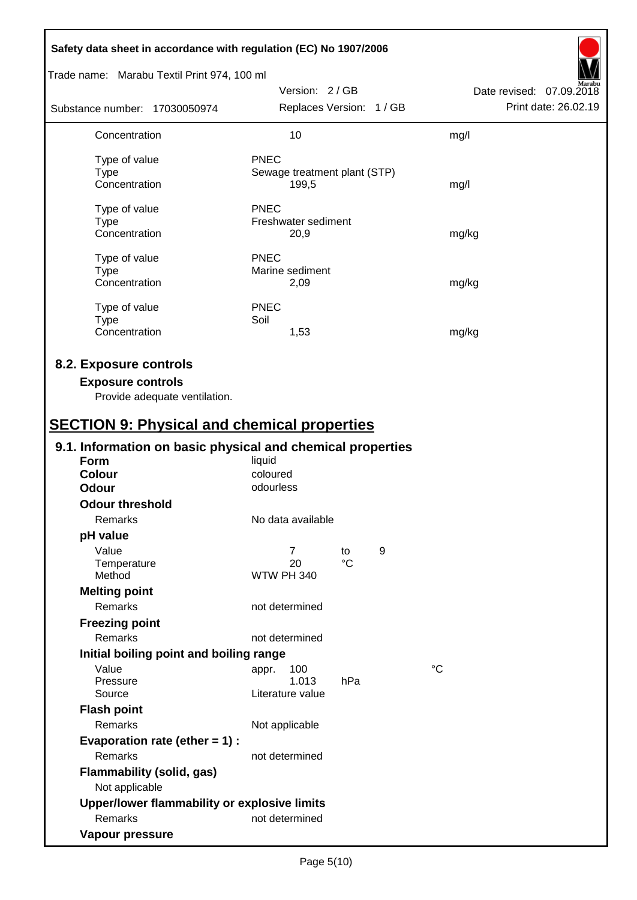| Safety data sheet in accordance with regulation (EC) No 1907/2006                                                                         |                                                                    |   |                          |
|-------------------------------------------------------------------------------------------------------------------------------------------|--------------------------------------------------------------------|---|--------------------------|
| Trade name: Marabu Textil Print 974, 100 ml                                                                                               |                                                                    |   |                          |
|                                                                                                                                           | Version: 2/GB                                                      |   | Date revised: 07.09.2018 |
| Substance number: 17030050974                                                                                                             | Replaces Version: 1 / GB                                           |   | Print date: 26.02.19     |
| Concentration                                                                                                                             | 10                                                                 |   | mg/l                     |
| Type of value<br><b>Type</b><br>Concentration                                                                                             | PNEC<br>Sewage treatment plant (STP)<br>199,5                      |   | mg/l                     |
| Type of value<br><b>Type</b><br>Concentration                                                                                             | <b>PNEC</b><br>Freshwater sediment<br>20,9                         |   | mg/kg                    |
| Type of value<br><b>Type</b><br>Concentration                                                                                             | <b>PNEC</b><br>Marine sediment<br>2,09                             |   | mg/kg                    |
| Type of value<br><b>Type</b><br>Concentration                                                                                             | <b>PNEC</b><br>Soil<br>1,53                                        |   | mg/kg                    |
| 8.2. Exposure controls<br><b>Exposure controls</b><br>Provide adequate ventilation.<br><b>SECTION 9: Physical and chemical properties</b> |                                                                    |   |                          |
| 9.1. Information on basic physical and chemical properties                                                                                |                                                                    |   |                          |
| Form<br><b>Colour</b><br>Odour                                                                                                            | liquid<br>coloured<br>odourless                                    |   |                          |
| <b>Odour threshold</b>                                                                                                                    |                                                                    |   |                          |
| Remarks                                                                                                                                   | No data available                                                  |   |                          |
| pH value                                                                                                                                  |                                                                    |   |                          |
| Value<br>Temperature<br>Method                                                                                                            | $\overline{7}$<br>to<br>$\rm ^{\circ}C$<br>20<br><b>WTW PH 340</b> | 9 |                          |
| <b>Melting point</b><br>Remarks                                                                                                           | not determined                                                     |   |                          |
| <b>Freezing point</b><br>Remarks                                                                                                          | not determined                                                     |   |                          |
| Initial boiling point and boiling range                                                                                                   |                                                                    |   |                          |
| Value<br>Pressure<br>Source                                                                                                               | 100<br>appr.<br>1.013<br>hPa<br>Literature value                   |   | $^{\circ}C$              |
| <b>Flash point</b><br>Remarks                                                                                                             | Not applicable                                                     |   |                          |
| Evaporation rate (ether $= 1$ ) :<br>Remarks                                                                                              | not determined                                                     |   |                          |
| Flammability (solid, gas)<br>Not applicable                                                                                               |                                                                    |   |                          |
| Upper/lower flammability or explosive limits                                                                                              |                                                                    |   |                          |
| Remarks                                                                                                                                   | not determined                                                     |   |                          |
| Vapour pressure                                                                                                                           |                                                                    |   |                          |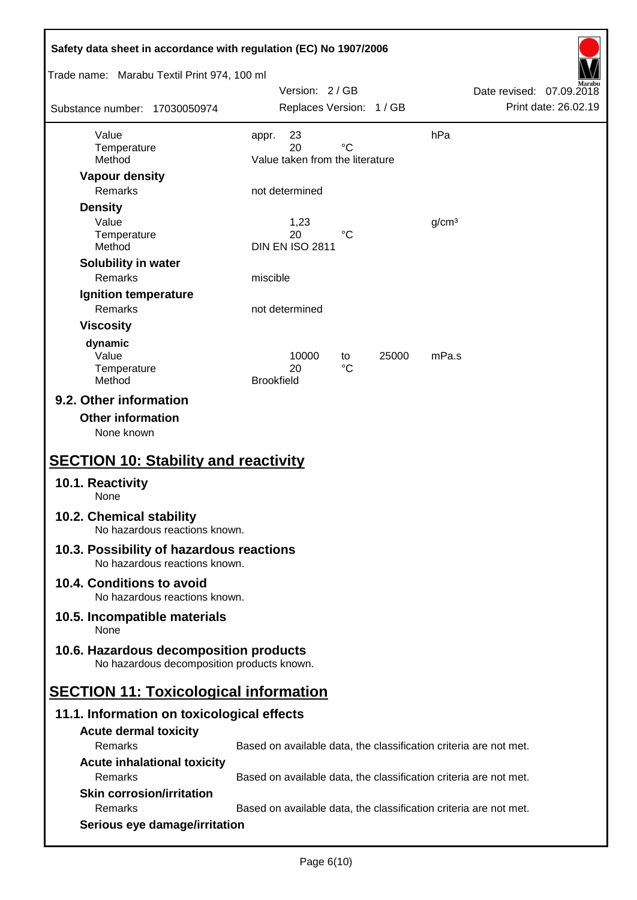| Safety data sheet in accordance with regulation (EC) No 1907/2006                     |                   |                                       |             |       |                   |                                                                   |                      |
|---------------------------------------------------------------------------------------|-------------------|---------------------------------------|-------------|-------|-------------------|-------------------------------------------------------------------|----------------------|
| Trade name: Marabu Textil Print 974, 100 ml                                           |                   | Version: 2/GB                         |             |       |                   | Date revised: 07.09.2018                                          |                      |
| Substance number: 17030050974                                                         |                   | Replaces Version: 1 / GB              |             |       |                   |                                                                   | Print date: 26.02.19 |
| Value                                                                                 | appr.             | 23                                    |             |       | hPa               |                                                                   |                      |
| Temperature<br>Method                                                                 |                   | 20<br>Value taken from the literature | $^{\circ}C$ |       |                   |                                                                   |                      |
| <b>Vapour density</b>                                                                 |                   |                                       |             |       |                   |                                                                   |                      |
| Remarks                                                                               |                   | not determined                        |             |       |                   |                                                                   |                      |
| <b>Density</b>                                                                        |                   |                                       |             |       |                   |                                                                   |                      |
| Value                                                                                 |                   | 1,23                                  |             |       | g/cm <sup>3</sup> |                                                                   |                      |
| Temperature<br>Method                                                                 |                   | 20<br><b>DIN EN ISO 2811</b>          | °C          |       |                   |                                                                   |                      |
| Solubility in water                                                                   |                   |                                       |             |       |                   |                                                                   |                      |
| Remarks                                                                               | miscible          |                                       |             |       |                   |                                                                   |                      |
| Ignition temperature                                                                  |                   |                                       |             |       |                   |                                                                   |                      |
| Remarks                                                                               |                   | not determined                        |             |       |                   |                                                                   |                      |
| <b>Viscosity</b>                                                                      |                   |                                       |             |       |                   |                                                                   |                      |
| dynamic                                                                               |                   |                                       |             |       |                   |                                                                   |                      |
| Value<br>Temperature                                                                  |                   | 10000<br>20                           | to<br>°C    | 25000 | mPa.s             |                                                                   |                      |
| Method                                                                                | <b>Brookfield</b> |                                       |             |       |                   |                                                                   |                      |
| <b>Other information</b><br>None known<br><b>SECTION 10: Stability and reactivity</b> |                   |                                       |             |       |                   |                                                                   |                      |
| 10.1. Reactivity<br>None                                                              |                   |                                       |             |       |                   |                                                                   |                      |
| 10.2. Chemical stability<br>No hazardous reactions known.                             |                   |                                       |             |       |                   |                                                                   |                      |
| 10.3. Possibility of hazardous reactions<br>No hazardous reactions known.             |                   |                                       |             |       |                   |                                                                   |                      |
| 10.4. Conditions to avoid<br>No hazardous reactions known.                            |                   |                                       |             |       |                   |                                                                   |                      |
| 10.5. Incompatible materials<br>None                                                  |                   |                                       |             |       |                   |                                                                   |                      |
| 10.6. Hazardous decomposition products<br>No hazardous decomposition products known.  |                   |                                       |             |       |                   |                                                                   |                      |
| <b>SECTION 11: Toxicological information</b>                                          |                   |                                       |             |       |                   |                                                                   |                      |
| 11.1. Information on toxicological effects                                            |                   |                                       |             |       |                   |                                                                   |                      |
| <b>Acute dermal toxicity</b>                                                          |                   |                                       |             |       |                   |                                                                   |                      |
| Remarks                                                                               |                   |                                       |             |       |                   | Based on available data, the classification criteria are not met. |                      |
| <b>Acute inhalational toxicity</b>                                                    |                   |                                       |             |       |                   |                                                                   |                      |
| Remarks                                                                               |                   |                                       |             |       |                   | Based on available data, the classification criteria are not met. |                      |
| <b>Skin corrosion/irritation</b><br>Remarks                                           |                   |                                       |             |       |                   |                                                                   |                      |
| Serious eye damage/irritation                                                         |                   |                                       |             |       |                   | Based on available data, the classification criteria are not met. |                      |
|                                                                                       |                   |                                       |             |       |                   |                                                                   |                      |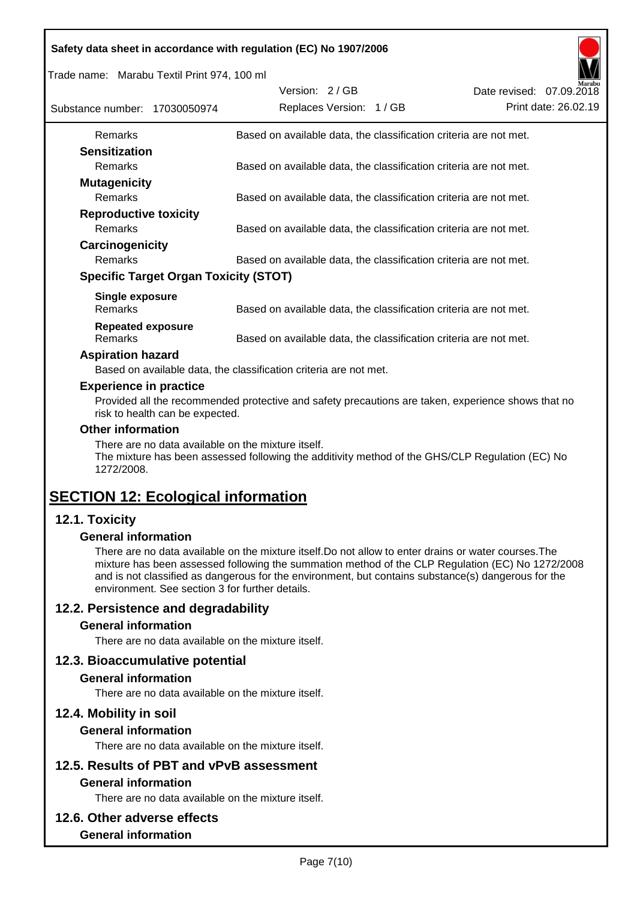|  |  | Safety data sheet in accordance with regulation (EC) No 1907/2006 |
|--|--|-------------------------------------------------------------------|
|  |  |                                                                   |

Trade name: Marabu Textil Print 974, 100 ml

| Substance number: 17030050974       |                                              | Version: 2/GB<br>Replaces Version: 1 / GB |                                                                   | Date revised: 07.09.2018 | Marabu<br>Print date: 26.02.19 |
|-------------------------------------|----------------------------------------------|-------------------------------------------|-------------------------------------------------------------------|--------------------------|--------------------------------|
| <b>Remarks</b>                      |                                              |                                           | Based on available data, the classification criteria are not met. |                          |                                |
| <b>Sensitization</b>                |                                              |                                           |                                                                   |                          |                                |
| <b>Remarks</b>                      |                                              |                                           | Based on available data, the classification criteria are not met. |                          |                                |
| <b>Mutagenicity</b>                 |                                              |                                           |                                                                   |                          |                                |
| <b>Remarks</b>                      |                                              |                                           | Based on available data, the classification criteria are not met. |                          |                                |
| <b>Reproductive toxicity</b>        |                                              |                                           |                                                                   |                          |                                |
| <b>Remarks</b>                      |                                              |                                           | Based on available data, the classification criteria are not met. |                          |                                |
| Carcinogenicity                     |                                              |                                           |                                                                   |                          |                                |
| <b>Remarks</b>                      |                                              |                                           | Based on available data, the classification criteria are not met. |                          |                                |
|                                     | <b>Specific Target Organ Toxicity (STOT)</b> |                                           |                                                                   |                          |                                |
| Single exposure<br><b>Remarks</b>   |                                              |                                           | Based on available data, the classification criteria are not met. |                          |                                |
| <b>Repeated exposure</b><br>Remarks |                                              |                                           | Based on available data, the classification criteria are not met. |                          |                                |

#### **Aspiration hazard**

Based on available data, the classification criteria are not met.

#### **Experience in practice**

Provided all the recommended protective and safety precautions are taken, experience shows that no risk to health can be expected.

#### **Other information**

There are no data available on the mixture itself.

The mixture has been assessed following the additivity method of the GHS/CLP Regulation (EC) No 1272/2008.

## **SECTION 12: Ecological information**

## **12.1. Toxicity**

#### **General information**

There are no data available on the mixture itself.Do not allow to enter drains or water courses.The mixture has been assessed following the summation method of the CLP Regulation (EC) No 1272/2008 and is not classified as dangerous for the environment, but contains substance(s) dangerous for the environment. See section 3 for further details.

## **12.2. Persistence and degradability**

#### **General information**

There are no data available on the mixture itself.

#### **12.3. Bioaccumulative potential**

#### **General information**

There are no data available on the mixture itself.

#### **12.4. Mobility in soil**

#### **General information**

There are no data available on the mixture itself.

# **12.5. Results of PBT and vPvB assessment**

## **General information**

There are no data available on the mixture itself.

#### **12.6. Other adverse effects**

#### **General information**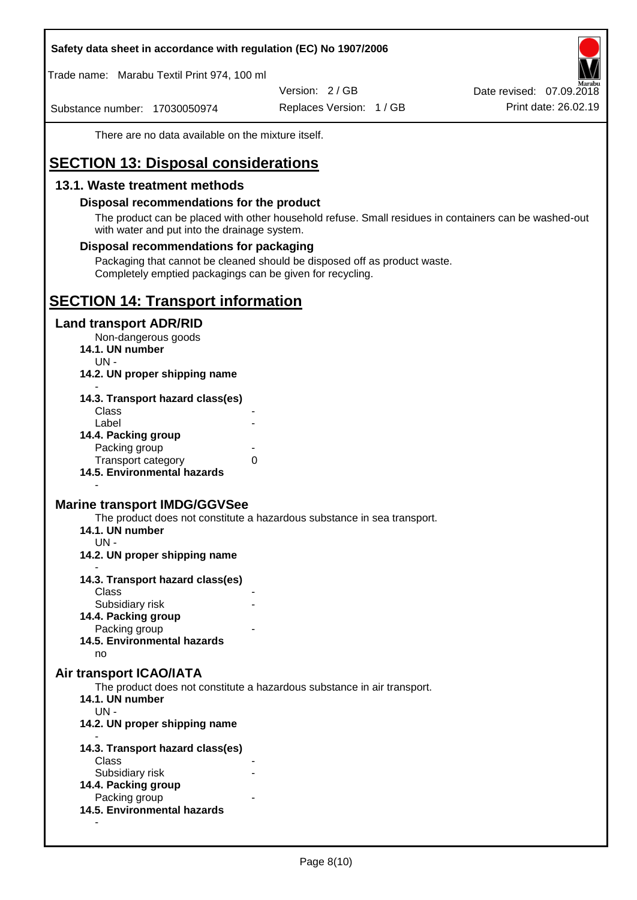#### **Safety data sheet in accordance with regulation (EC) No 1907/2006**

Trade name: Marabu Textil Print 974, 100 ml

Version: 2 / GB

Substance number: 17030050974

Replaces Version: 1 / GB Print date: 26.02.19 Date revised: 07.09.2018

There are no data available on the mixture itself.

## **SECTION 13: Disposal considerations**

### **13.1. Waste treatment methods**

#### **Disposal recommendations for the product**

The product can be placed with other household refuse. Small residues in containers can be washed-out with water and put into the drainage system.

#### **Disposal recommendations for packaging**

Packaging that cannot be cleaned should be disposed off as product waste. Completely emptied packagings can be given for recycling.

## **SECTION 14: Transport information**

#### **Land transport ADR/RID**

Non-dangerous goods

- **14.1. UN number**
	- UN -
- **14.2. UN proper shipping name**

| 14.3. Transport hazard class(es) |   |
|----------------------------------|---|
| Class                            |   |
| Label                            |   |
| 14.4. Packing group              |   |
| Packing group                    |   |
| <b>Transport category</b>        | 0 |
| 14.5. Environmental hazards      |   |

#### **Marine transport IMDG/GGVSee**

The product does not constitute a hazardous substance in sea transport.

- **14.1. UN number**
	- UN -

-

- **14.2. UN proper shipping name**
- **14.3. Transport hazard class(es) Class** 
	- Subsidiary risk
- **14.4. Packing group**
	- Packing group
- **14.5. Environmental hazards**

no

#### **Air transport ICAO/IATA**

The product does not constitute a hazardous substance in air transport.

- **14.1. UN number**
- UN -

-

- **14.2. UN proper shipping name**
- **14.3. Transport hazard class(es)** Class Subsidiary risk **14.4. Packing group** Packing group **14.5. Environmental hazards**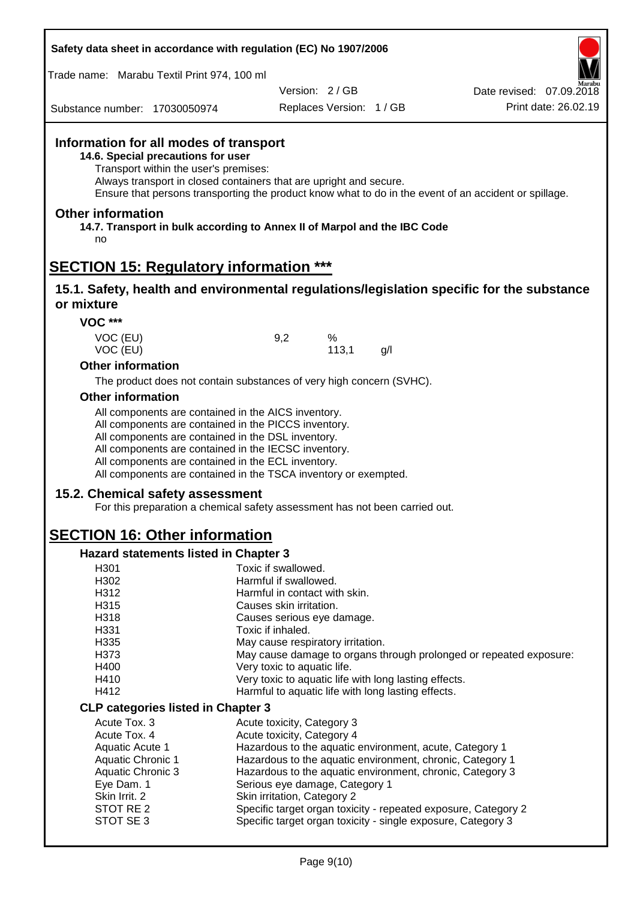| Safety data sheet in accordance with regulation (EC) No 1907/2006 |  |
|-------------------------------------------------------------------|--|
|-------------------------------------------------------------------|--|

Trade name: Marabu Textil Print 974, 100 ml

Version: 2 / GB

Replaces Version: 1 / GB Print date: 26.02.19 Date revised: 07.09.2018

Substance number: 17030050974

## **Information for all modes of transport**

**14.6. Special precautions for user**

Transport within the user's premises:

Always transport in closed containers that are upright and secure.

Ensure that persons transporting the product know what to do in the event of an accident or spillage.

#### **Other information**

**14.7. Transport in bulk according to Annex II of Marpol and the IBC Code** no

## **SECTION 15: Regulatory information \*\*\***

#### **15.1. Safety, health and environmental regulations/legislation specific for the substance or mixture**

**VOC \*\*\***

| VOC (EU) | 9.2 | $\%$  |    |
|----------|-----|-------|----|
| VOC (EU) |     | 113,1 | g/ |
|          |     |       |    |

#### **Other information**

The product does not contain substances of very high concern (SVHC).

#### **Other information**

All components are contained in the AICS inventory.

All components are contained in the PICCS inventory.

All components are contained in the DSL inventory.

All components are contained in the IECSC inventory.

All components are contained in the ECL inventory.

All components are contained in the TSCA inventory or exempted.

#### **15.2. Chemical safety assessment**

For this preparation a chemical safety assessment has not been carried out.

## **SECTION 16: Other information**

#### **Hazard statements listed in Chapter 3**

| H301                                      | Toxic if swallowed.                                                |
|-------------------------------------------|--------------------------------------------------------------------|
| H302                                      | Harmful if swallowed.                                              |
| H312                                      | Harmful in contact with skin.                                      |
| H315                                      | Causes skin irritation.                                            |
| H318                                      | Causes serious eye damage.                                         |
| H331                                      | Toxic if inhaled.                                                  |
| H335                                      | May cause respiratory irritation.                                  |
| H373                                      | May cause damage to organs through prolonged or repeated exposure: |
| H400                                      | Very toxic to aquatic life.                                        |
| H410                                      | Very toxic to aquatic life with long lasting effects.              |
| H412                                      | Harmful to aquatic life with long lasting effects.                 |
| <b>CLP categories listed in Chapter 3</b> |                                                                    |
| Acute Tox, 3                              | Acute toxicity, Category 3                                         |
| Acute Tox, 4                              | Acute toxicity, Category 4                                         |
| Aquatic Acute 1                           | Hazardous to the aquatic environment, acute, Category 1            |
| <b>Aquatic Chronic 1</b>                  | Hazardous to the aquatic environment, chronic, Category 1          |
| Aquatic Chronic 3                         | Hazardous to the aquatic environment, chronic, Category 3          |
| Eye Dam. 1                                | Serious eye damage, Category 1                                     |
| Skin Irrit. 2                             | Skin irritation, Category 2                                        |
| STOT RE 2                                 | Specific target organ toxicity - repeated exposure, Category 2     |
| STOT SE3                                  | Specific target organ toxicity - single exposure, Category 3       |